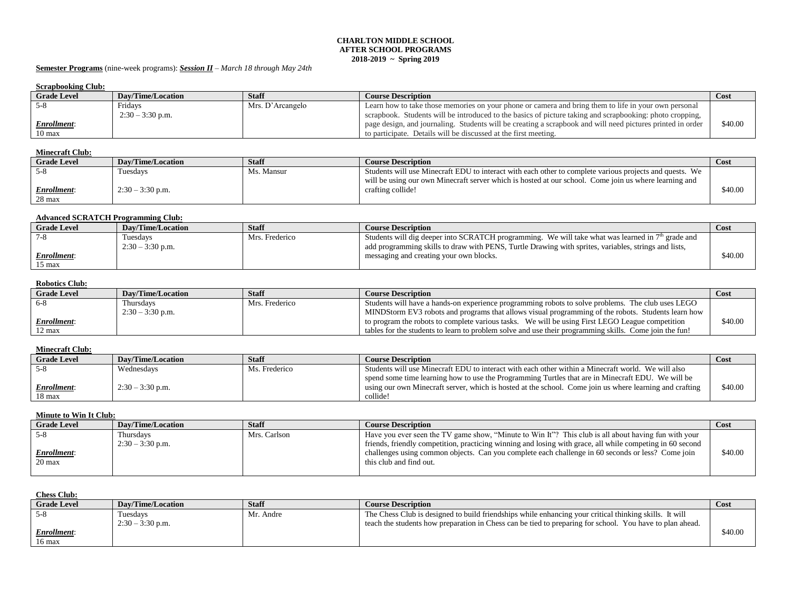#### **CHARLTON MIDDLE SCHOOL AFTER SCHOOL PROGRAMS 2018-2019 ~ Spring 2019**

## **Semester Programs** (nine-week programs): *Session II – March 18 through May 24th*

## **Scrapbooking Club:**

| berappooning Club.  |                          |                  |                                                                                                            |             |  |
|---------------------|--------------------------|------------------|------------------------------------------------------------------------------------------------------------|-------------|--|
| <b>Grade Level</b>  | <b>Dav/Time/Location</b> | <b>Staff</b>     | <b>Course Description</b>                                                                                  | <b>Cost</b> |  |
|                     | Fridays                  | Mrs. D'Arcangelo | Learn how to take those memories on your phone or camera and bring them to life in your own personal       |             |  |
|                     | $2:30 - 3:30$ p.m.       |                  | scrapbook. Students will be introduced to the basics of picture taking and scrapbooking: photo cropping,   |             |  |
| <u>Enrollment:</u>  |                          |                  | page design, and journaling. Students will be creating a scrapbook and will need pictures printed in order | \$40.00     |  |
| $10 \,\mathrm{max}$ |                          |                  | to participate. Details will be discussed at the first meeting.                                            |             |  |

#### **Minecraft Club:**

| <b>Grade Level</b>           | <b>Dav/Time/Location</b> | Staff      | <b>Course Description</b>                                                                                                                                                                                        | Cost    |
|------------------------------|--------------------------|------------|------------------------------------------------------------------------------------------------------------------------------------------------------------------------------------------------------------------|---------|
|                              | Tuesdays                 | Ms. Mansur | Students will use Minecraft EDU to interact with each other to complete various projects and quests. We<br>will be using our own Minecraft server which is hosted at our school. Come join us where learning and |         |
| <u>Enrollment:</u><br>28 max | $2:30 - 3:30$ p.m.       |            | crafting collide!                                                                                                                                                                                                | \$40.00 |

#### **Advanced SCRATCH Programming Club:**

| <b>Grade Level</b> | <b>Dav/Time/Location</b> | <b>Staff</b>   | <b>Course Description</b>                                                                            | Cost    |
|--------------------|--------------------------|----------------|------------------------------------------------------------------------------------------------------|---------|
| - 7-8              | Tuesdavs                 | Mrs. Frederico | Students will dig deeper into SCRATCH programming. We will take what was learned in $7th$ grade and  |         |
|                    | $2:30 - 3:30$ p.m.       |                | add programming skills to draw with PENS, Turtle Drawing with sprites, variables, strings and lists, |         |
| Enrollment:        |                          |                | messaging and creating your own blocks.                                                              | \$40.00 |
| $15 \text{ max}$   |                          |                |                                                                                                      |         |

### **Robotics Club:**

| <b>Grade Level</b> | <b>Dav/Time/Location</b> | <b>Staff</b>   | <b>Course Description</b>                                                                              | <b>Cost</b> |
|--------------------|--------------------------|----------------|--------------------------------------------------------------------------------------------------------|-------------|
| $6-8$              | Thursdays                | Mrs. Frederico | Students will have a hands-on experience programming robots to solve problems. The club uses LEGO      |             |
|                    | $2:30 - 3:30$ p.m.       |                | MINDStorm EV3 robots and programs that allows visual programming of the robots. Students learn how     |             |
| <b>Enrollment:</b> |                          |                | to program the robots to complete various tasks. We will be using First LEGO League competition        | \$40.00     |
| $12 \text{ max}$   |                          |                | tables for the students to learn to problem solve and use their programming skills. Come join the fun! |             |

### **Minecraft Club:**

| <b>Grade Level</b> | Dav/Time/Location  | <b>Staff</b>  | <b>Course Description</b>                                                                               | Cost    |
|--------------------|--------------------|---------------|---------------------------------------------------------------------------------------------------------|---------|
|                    | Wednesdavs         | Ms. Frederico | Students will use Minecraft EDU to interact with each other within a Minecraft world. We will also      |         |
|                    |                    |               | spend some time learning how to use the Programming Turtles that are in Minecraft EDU. We will be       |         |
| <u>Enrollment:</u> | $2:30 - 3:30$ p.m. |               | using our own Minecraft server, which is hosted at the school. Come join us where learning and crafting | \$40.00 |
| 18 max             |                    |               | collide!                                                                                                |         |

# **Minute to Win It Club:**

| <b>Grade Level</b> | Dav/Time/Location  | <b>Staff</b> | <b>Course Description</b>                                                                                 | Cost    |
|--------------------|--------------------|--------------|-----------------------------------------------------------------------------------------------------------|---------|
| .నార               | Thursdavs          | Mrs. Carlson | Have you ever seen the TV game show, "Minute to Win It"? This club is all about having fun with your      |         |
|                    | $2:30 - 3:30$ p.m. |              | friends, friendly competition, practicing winning and losing with grace, all while competing in 60 second |         |
| <u>Enrollment:</u> |                    |              | challenges using common objects. Can you complete each challenge in 60 seconds or less? Come join         | \$40.00 |
| $20 \text{ max}$   |                    |              | this club and find out.                                                                                   |         |
|                    |                    |              |                                                                                                           |         |

# **Chess Club:**

| $\sim$             |                    |           |                                                                                                          |         |
|--------------------|--------------------|-----------|----------------------------------------------------------------------------------------------------------|---------|
| <b>Grade Level</b> | Dav/Time/Location  | Staff     | <b>Course Description</b>                                                                                | Cost    |
|                    | Tuesdavs           | Mr. Andre | The Chess Club is designed to build friendships while enhancing your critical thinking skills. It will   |         |
|                    | $2:30 - 3:30$ p.m. |           | teach the students how preparation in Chess can be tied to preparing for school. You have to plan ahead. |         |
| <b>Enrollment:</b> |                    |           |                                                                                                          | \$40.00 |
| $16 \text{ max}$   |                    |           |                                                                                                          |         |